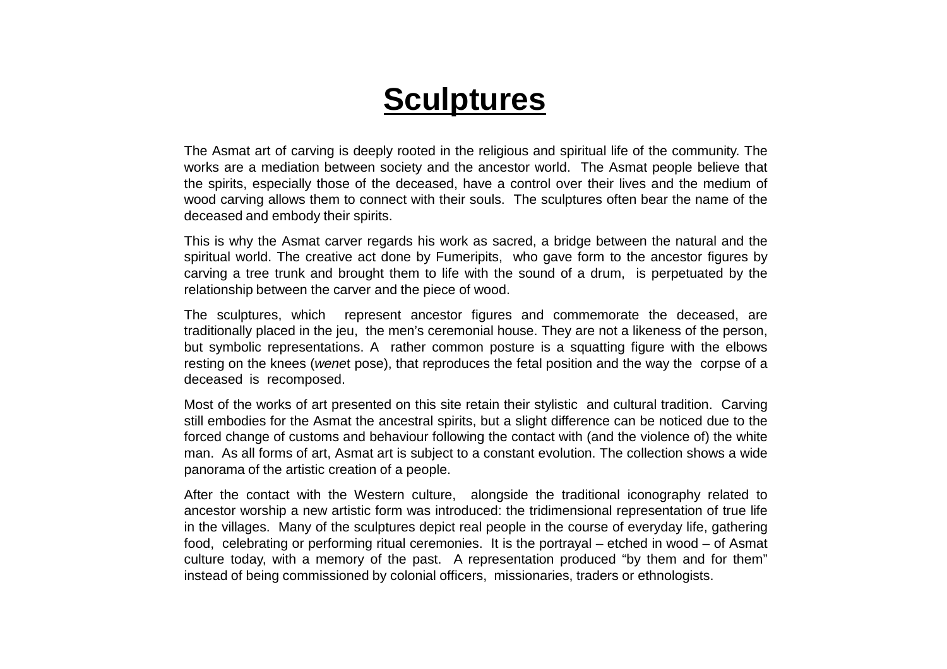# **Sculptures**

The Asmat art of carving is deeply rooted in the religious and spiritual life of the community. The works are <sup>a</sup> mediation between society and the ancestor world. The Asmat people believe that the spirits, especially those of the deceased, have <sup>a</sup> control over their lives and the medium of wood carving allows them to connect with their souls. The sculptures often bear the name of thedeceased and embody their spirits.

This is why the Asmat carver regards his work as sacred, a bridge between the natural and the spiritual world. The creative act done by Fumeripits, who gave form to the ancestor figures by carving <sup>a</sup> tree trunk and brought them to life with the sound of <sup>a</sup> drum, is perpetuated by therelationship between the carver and the piece of wood.

The sculptures, which represent ancestor figures and commemorate the deceased, are traditionally placed in the jeu, the men's ceremonial house. They are not <sup>a</sup> likeness of the person, but symbolic representations. A rather common posture is <sup>a</sup> squatting figure with the elbowsresting on the knees (*wene*t pose), that reproduces the fetal position and the way the corpse of a deceased is recomposed.

Most of the works of art presented on this site retain their stylistic and cultural tradition. Carving still embodies for the Asmat the ancestral spirits, but <sup>a</sup> slight difference can be noticed due to the forced change of customs and behaviour following the contact with (and the violence of) the white man. As all forms of art, Asmat art is subject to <sup>a</sup> constant evolution. The collection shows <sup>a</sup> widepanorama of the artistic creation of <sup>a</sup> people.

After the contact with the Western culture, alongside the traditional iconography related to ancestor worship <sup>a</sup> new artistic form was introduced: the tridimensional representation of true life in the villages. Many of the sculptures depict real people in the course of everyday life, gathering food, celebrating or performing ritual ceremonies. It is the portrayal – etched in wood – of Asmat culture today, with <sup>a</sup> memory of the past. A representation produced "by them and for them"instead of being commissioned by colonial officers, missionaries, traders or ethnologists.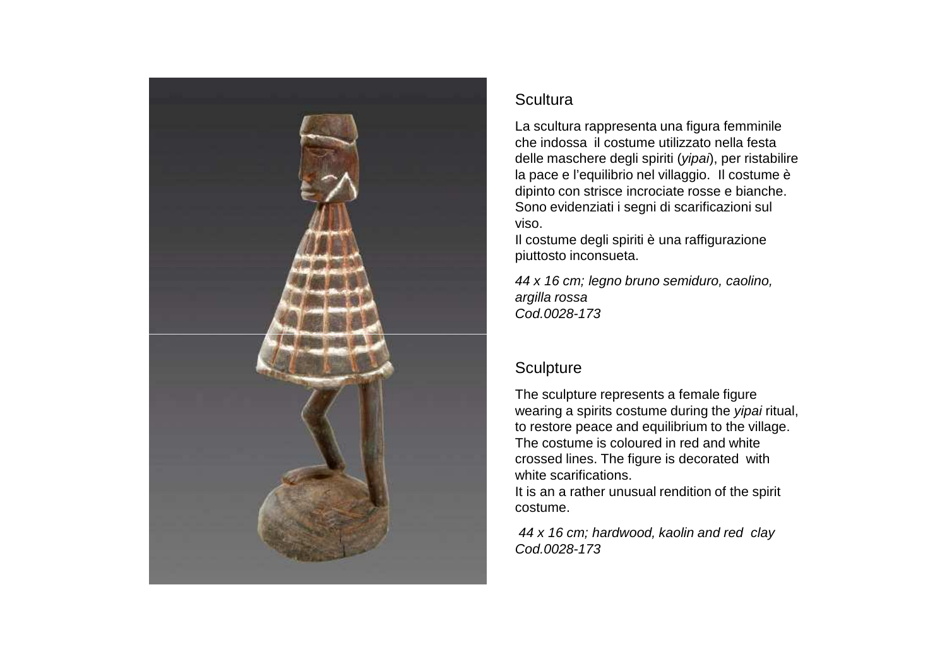

La scultura rappresenta una figura femminile che indossa il costume utilizzato nella festa delle maschere degli spiriti (yipai), per ristabilire la pace e l'equilibrio nel villaggio. Il costume è dipinto con strisce incrociate rosse e bianche. Sono evidenziati i segni di scarificazioni sul viso.

 Il costume degli spiriti è una raffigurazione piuttosto inconsueta.

44 x 16 cm; legno bruno semiduro, caolino, argilla rossaCod.0028-173

# **Sculpture**

The sculpture represents a female figure wearing a spirits costume during the *yipai* ritual, to restore peace and equilibrium to the village. The costume is coloured in red and white crossed lines. The figure is decorated with white scarifications.

 It is an a rather unusual rendition of the spirit costume.

44 x 16 cm; hardwood, kaolin and red clayCod.0028-173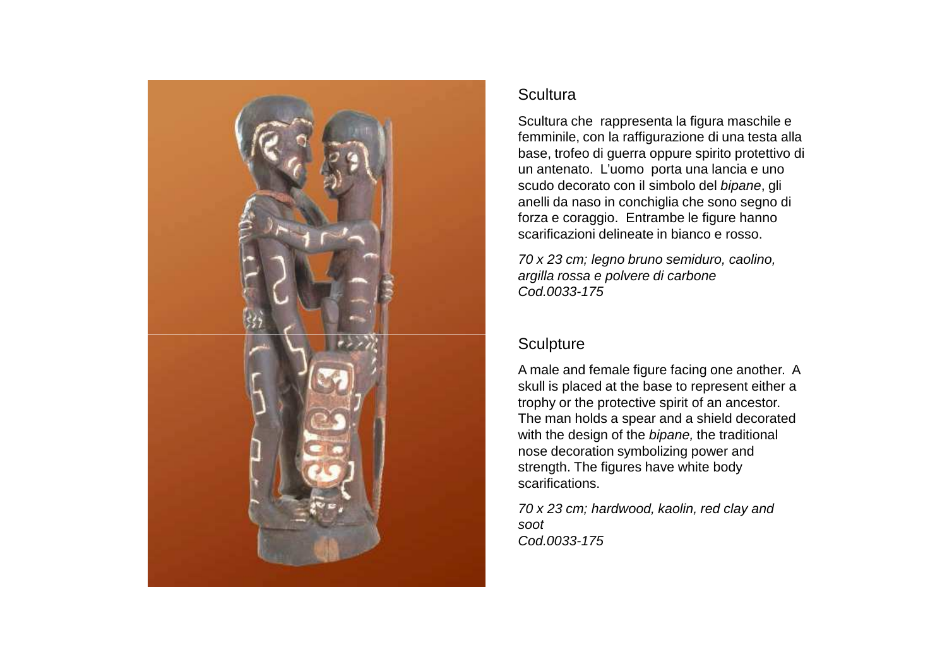

Scultura che rappresenta la figura maschile e femminile, con la raffigurazione di una testa alla base, trofeo di guerra oppure spirito protettivo di un antenato. L'uomo porta una lancia e uno scudo decorato con il simbolo del bipane, gli anelli da naso in conchiglia che sono segno di forza e coraggio. Entrambe le figure hanno scarificazioni delineate in bianco e rosso.

70 x 23 cm; legno bruno semiduro, caolino, argilla rossa e polvere di carboneCod.0033-175

# **Sculpture**

A male and female figure facing one another. A skull is placed at the base to represent either a trophy or the protective spirit of an ancestor. The man holds a spear and a shield decorated with the design of the bipane, the traditional nose decoration symbolizing power and strength. The figures have white body scarifications.

70 x 23 cm; hardwood, kaolin, red clay and sootCod.0033-175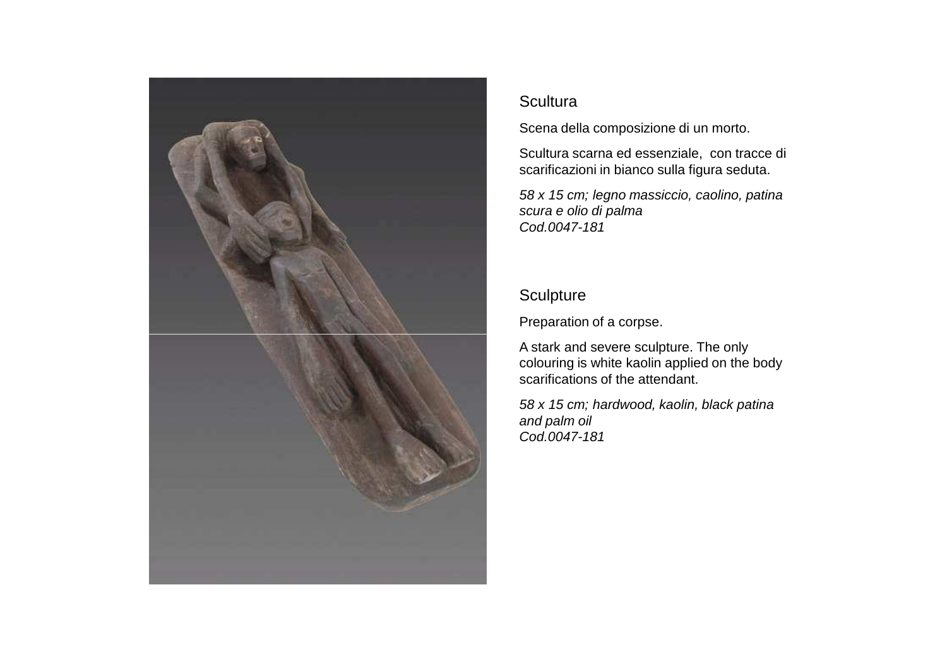

Scena della composizione di un morto.

Scultura scarna ed essenziale, con tracce di scarificazioni in bianco sulla figura seduta.

58 x 15 cm; legno massiccio, caolino, patina scura e olio di palma Cod.0047-181

# **Sculpture**

Preparation of a corpse.

A stark and severe sculpture. The only colouring is white kaolin applied on the body scarifications of the attendant.

58 x 15 cm; hardwood, kaolin, black patina and palm oilCod.0047-181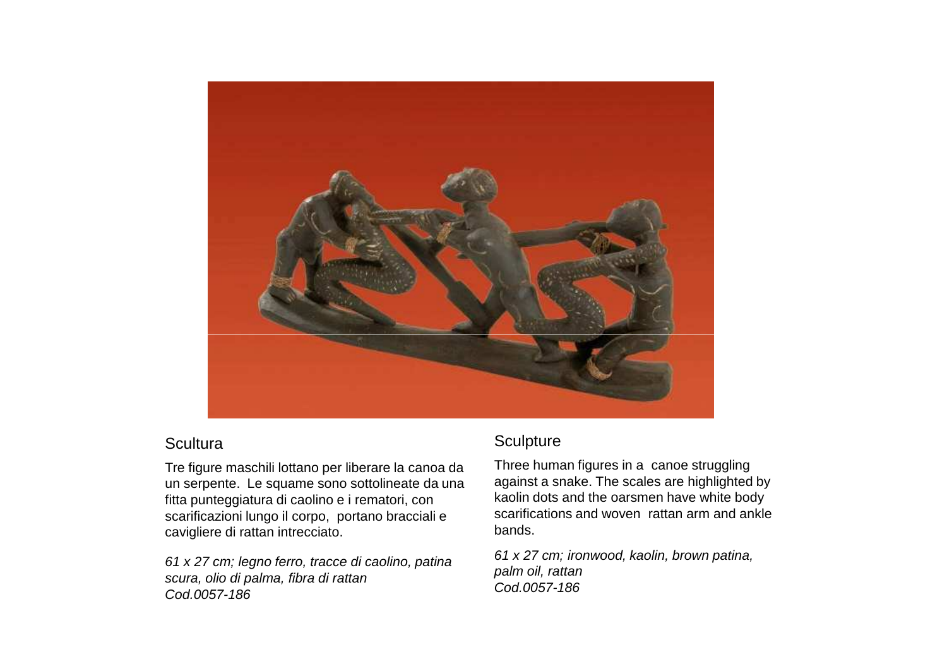

Tre figure maschili lottano per liberare la canoa da un serpente. Le squame sono sottolineate da una fitta punteggiatura di caolino e i rematori, con scarificazioni lungo il corpo, portano bracciali e cavigliere di rattan intrecciato.

61 x 27 cm; legno ferro, tracce di caolino, patina scura, olio di palma, fibra di rattanCod.0057-186

# **Sculpture**

Three human figures in a canoe struggling against a snake. The scales are highlighted by kaolin dots and the oarsmen have white body scarifications and woven rattan arm and ankle bands.

61 x 27 cm; ironwood, kaolin, brown patina, palm oil, rattanCod.0057-186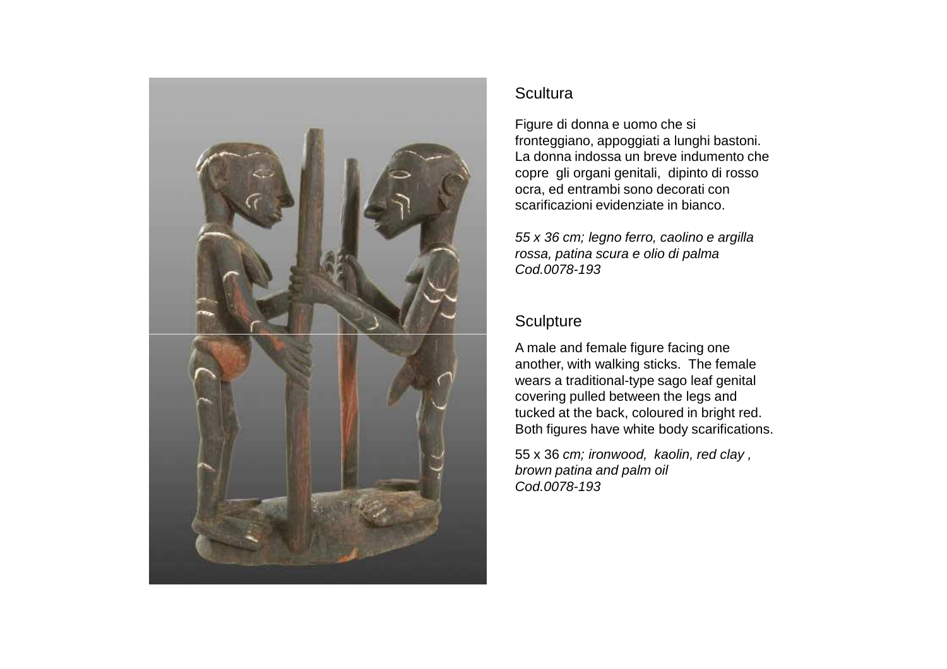

Figure di donna e uomo che si fronteggiano, appoggiati a lunghi bastoni. La donna indossa un breve indumento che copre gli organi genitali, dipinto di rosso ocra, ed entrambi sono decorati con scarificazioni evidenziate in bianco.

55 x 36 cm; legno ferro, caolino e argilla rossa, patina scura e olio di palmaCod.0078-193

## **Sculpture**

A male and female figure facing one another, with walking sticks. The female wears a traditional-type sago leaf genital covering pulled between the legs and tucked at the back, coloured in bright red. Both figures have white body scarifications.

55 x 36 cm; ironwood, kaolin, red clay , brown patina and palm oilCod.0078-193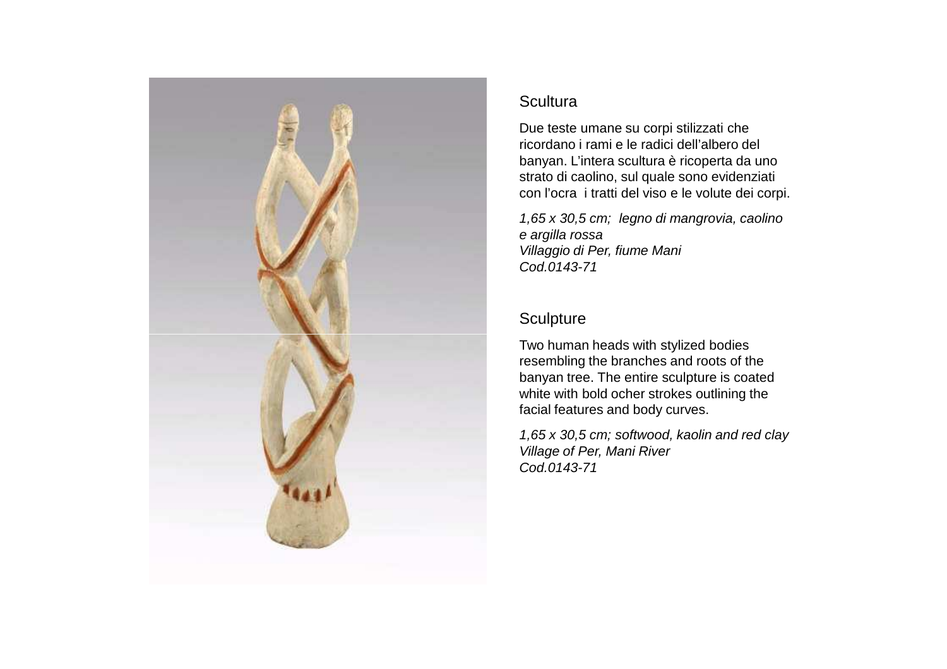

Due teste umane su corpi stilizzati che ricordano i rami e le radici dell'albero del banyan. L'intera scultura è ricoperta da uno strato di caolino, sul quale sono evidenziati con l'ocra i tratti del viso e le volute dei corpi.

1,65 x 30,5 cm; legno di mangrovia, caolino e argilla rossa Villaggio di Per, fiume ManiCod.0143-71

# **Sculpture**

Two human heads with stylized bodies resembling the branches and roots of the banyan tree. The entire sculpture is coated white with bold ocher strokes outlining the facial features and body curves.

1,65 x 30,5 cm; softwood, kaolin and red clayVillage of Per, Mani RiverCod.0143-71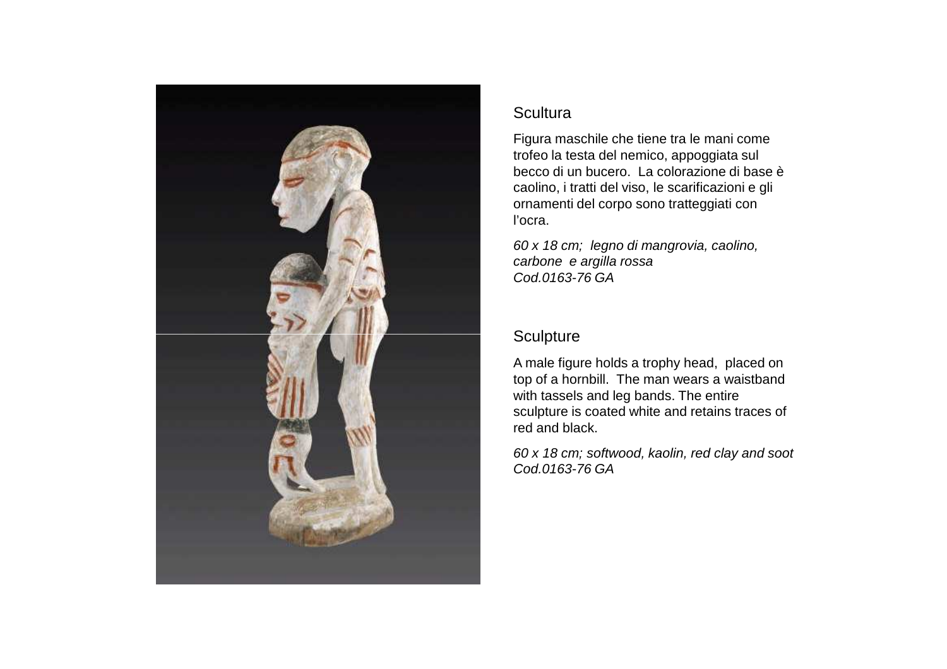

Figura maschile che tiene tra le mani come trofeo la testa del nemico, appoggiata sul becco di un bucero. La colorazione di base è caolino, i tratti del viso, le scarificazioni e gli ornamenti del corpo sono tratteggiati con l'ocra.

60 x 18 cm; legno di mangrovia, caolino, carbone e argilla rossaCod.0163-76 GA

# **Sculpture**

A male figure holds a trophy head, placed on top of a hornbill. The man wears a waistband with tassels and leg bands. The entire sculpture is coated white and retains traces of red and black.

60 x 18 cm; softwood, kaolin, red clay and sootCod.0163-76 GA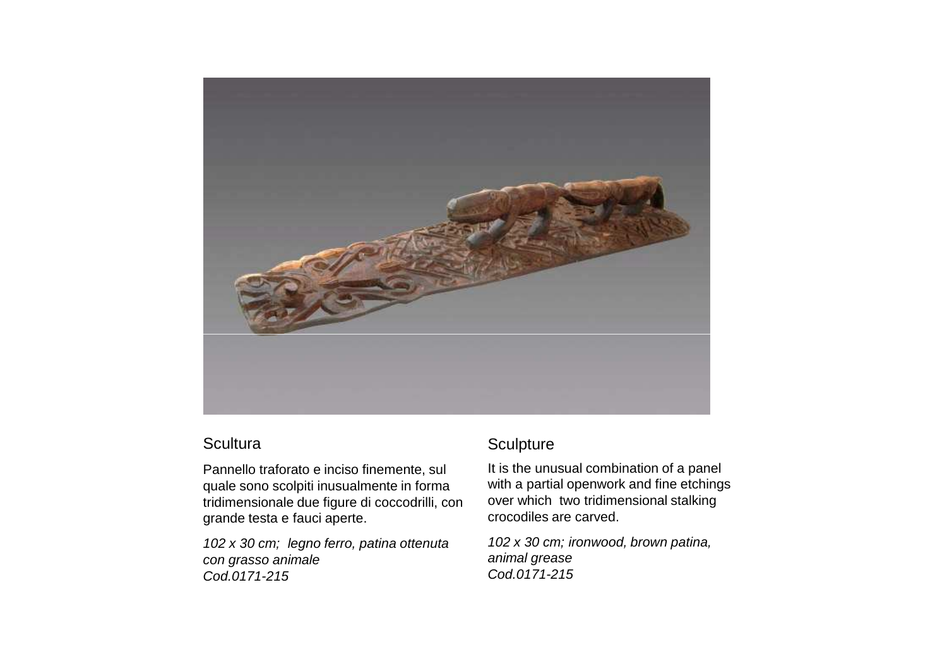

Pannello traforato e inciso finemente, sul quale sono scolpiti inusualmente in forma tridimensionale due figure di coccodrilli, con grande testa e fauci aperte.

102 x 30 cm; legno ferro, patina ottenuta con grasso animaleCod.0171-215

#### **Sculpture**

It is the unusual combination of a panel with a partial openwork and fine etchings over which two tridimensional stalking crocodiles are carved.

102 x 30 cm; ironwood, brown patina, animal greaseCod.0171-215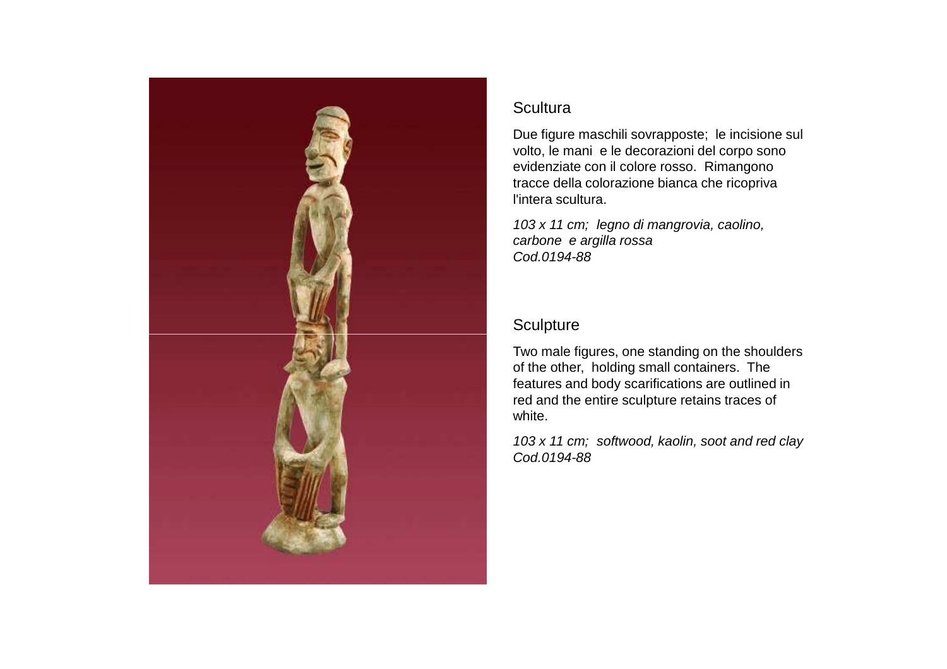

Due figure maschili sovrapposte; le incisione sul volto, le mani e le decorazioni del corpo sono evidenziate con il colore rosso. Rimangono tracce della colorazione bianca che ricopriva l'intera scultura.

103 x 11 cm; legno di mangrovia, caolino, carbone e argilla rossaCod.0194-88

# **Sculpture**

Two male figures, one standing on the shoulders of the other, holding small containers. The features and body scarifications are outlined in red and the entire sculpture retains traces of white.

103 x 11 cm; softwood, kaolin, soot and red clayCod.0194-88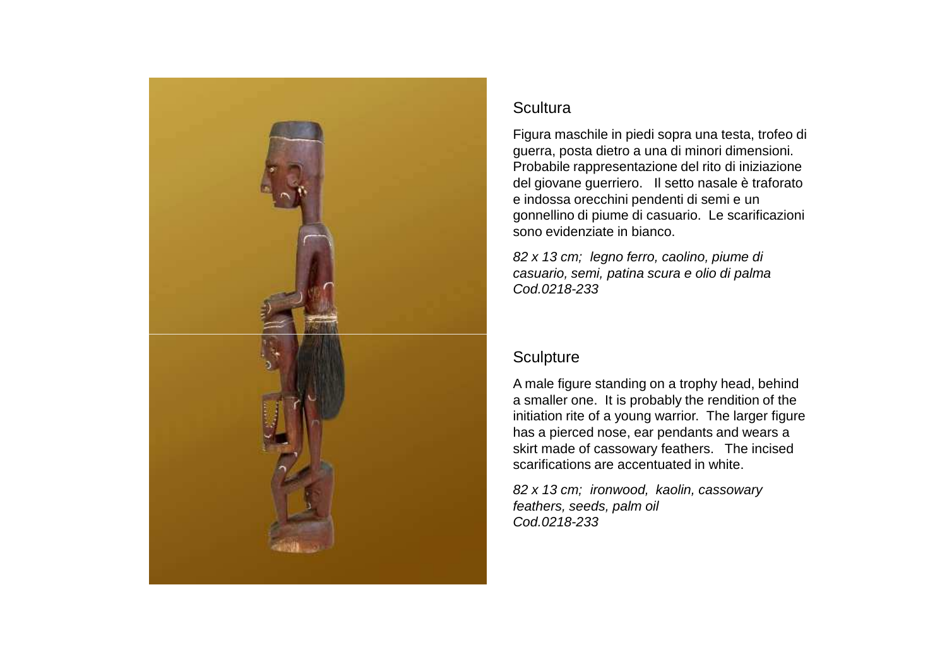

Figura maschile in piedi sopra una testa, trofeo di guerra, posta dietro a una di minori dimensioni. Probabile rappresentazione del rito di iniziazione del giovane guerriero. Il setto nasale è traforato e indossa orecchini pendenti di semi e un gonnellino di piume di casuario. Le scarificazioni sono evidenziate in bianco.

82 x 13 cm; legno ferro, caolino, piume di casuario, semi, patina scura e olio di palmaCod.0218-233

## **Sculpture**

A male figure standing on a trophy head, behind a smaller one. It is probably the rendition of the initiation rite of a young warrior. The larger figure has a pierced nose, ear pendants and wears a skirt made of cassowary feathers. The incised scarifications are accentuated in white.

82 x 13 cm; ironwood, kaolin, cassowary feathers, seeds, palm oilCod.0218-233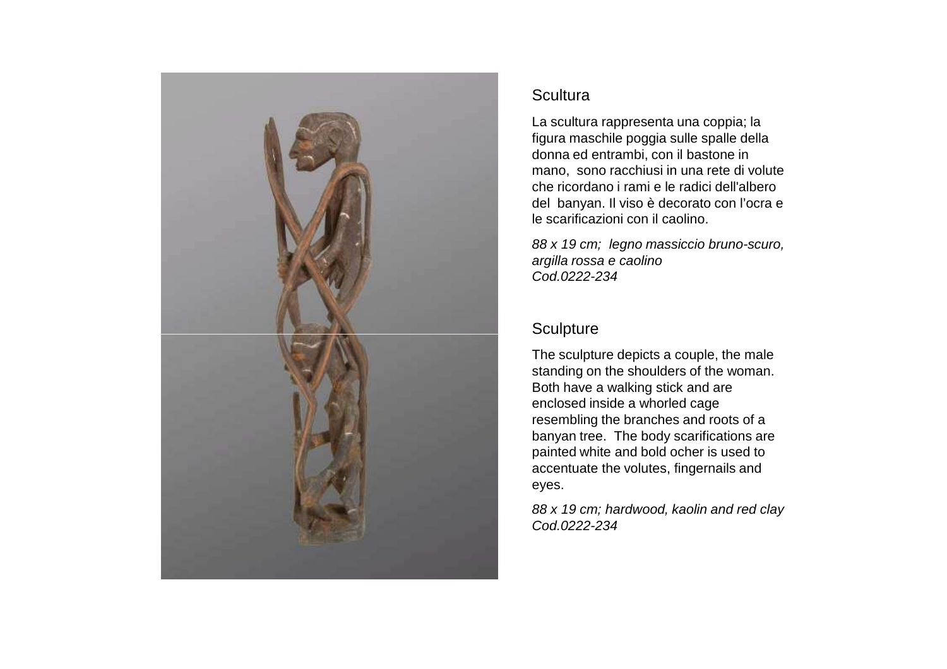

La scultura rappresenta una coppia; la figura maschile poggia sulle spalle della donna ed entrambi, con il bastone in mano, sono racchiusi in una rete di volute che ricordano i rami e le radici dell'albero del banyan. Il viso è decorato con l'ocra e le scarificazioni con il caolino.

88 x 19 cm; legno massiccio bruno-scuro, argilla rossa e caolinoCod.0222-234

# **Sculpture**

The sculpture depicts a couple, the male standing on the shoulders of the woman. Both have a walking stick and are enclosed inside a whorled cage resembling the branches and roots of a banyan tree. The body scarifications are painted white and bold ocher is used to accentuate the volutes, fingernails and eyes.

88 x 19 cm; hardwood, kaolin and red clayCod.0222-234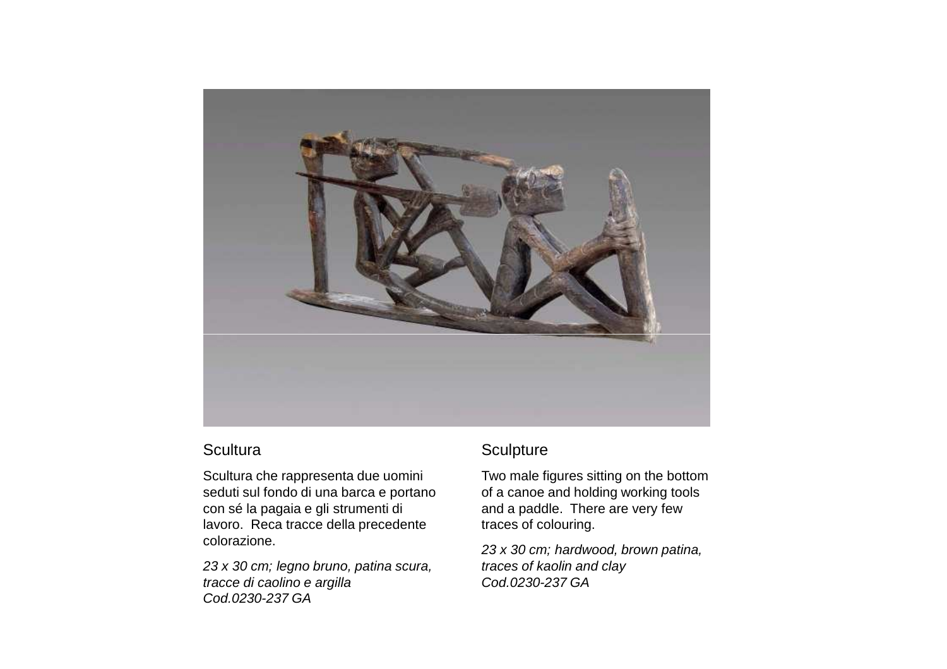

Scultura che rappresenta due uomini seduti sul fondo di una barca e portano con sé la pagaia e gli strumenti di lavoro. Reca tracce della precedente colorazione.

23 x 30 cm; legno bruno, patina scura, tracce di caolino e argillaCod.0230-237 GA

#### **Sculpture**

Two male figures sitting on the bottom of a canoe and holding working tools and a paddle. There are very few traces of colouring.

23 x 30 cm; hardwood, brown patina, traces of kaolin and clayCod.0230-237 GA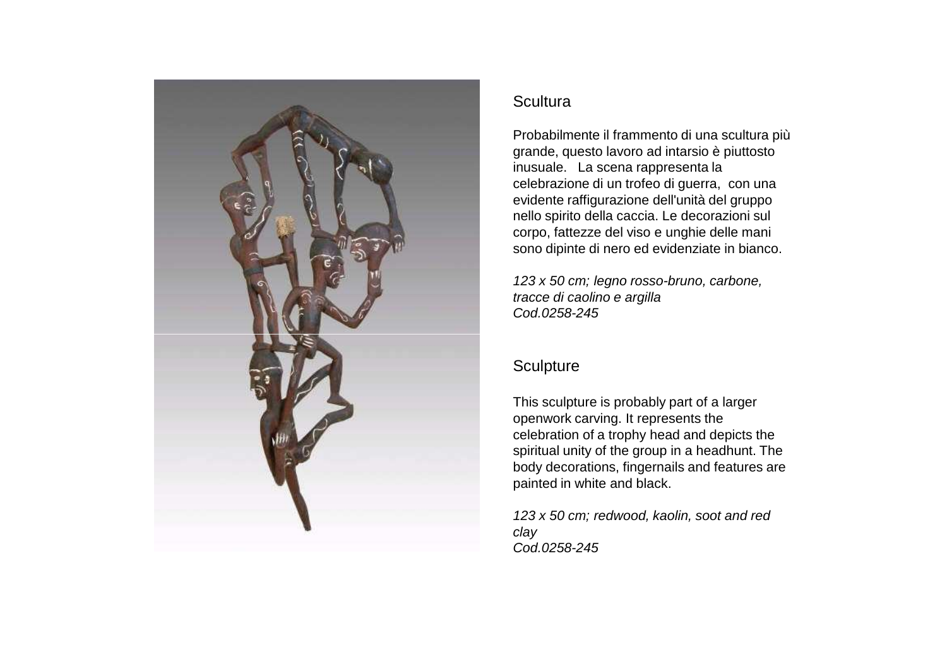

Probabilmente il frammento di una scultura più grande, questo lavoro ad intarsio è piuttosto inusuale. La scena rappresenta la celebrazione di un trofeo di guerra, con una evidente raffigurazione dell'unità del gruppo nello spirito della caccia. Le decorazioni sul corpo, fattezze del viso e unghie delle mani sono dipinte di nero ed evidenziate in bianco.

123 x 50 cm; legno rosso-bruno, carbone, tracce di caolino e argillaCod.0258-245

# **Sculpture**

This sculpture is probably part of a larger openwork carving. It represents the celebration of a trophy head and depicts the spiritual unity of the group in a headhunt. The body decorations, fingernails and features are painted in white and black.

123 x 50 cm; redwood, kaolin, soot and red clayCod.0258-245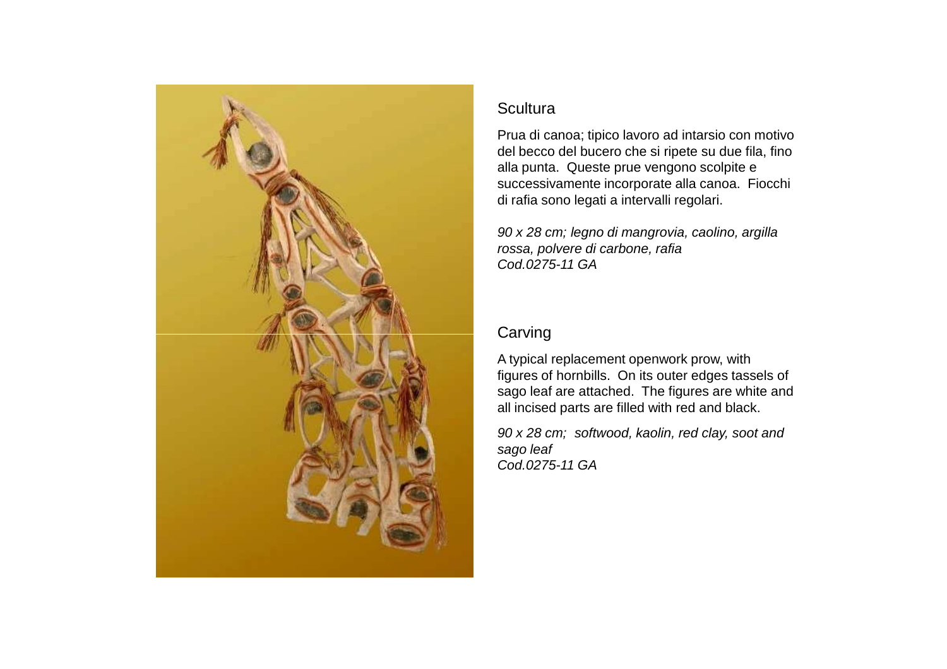

Prua di canoa; tipico lavoro ad intarsio con motivo del becco del bucero che si ripete su due fila, fino alla punta. Queste prue vengono scolpite e successivamente incorporate alla canoa. Fiocchi di rafia sono legati a intervalli regolari.

90 x 28 cm; legno di mangrovia, caolino, argilla rossa, polvere di carbone, rafiaCod.0275-11 GA

# **Carving**

A typical replacement openwork prow, with figures of hornbills. On its outer edges tassels of sago leaf are attached. The figures are white and all incised parts are filled with red and black.

90 x 28 cm; softwood, kaolin, red clay, soot and sago leafCod.0275-11 GA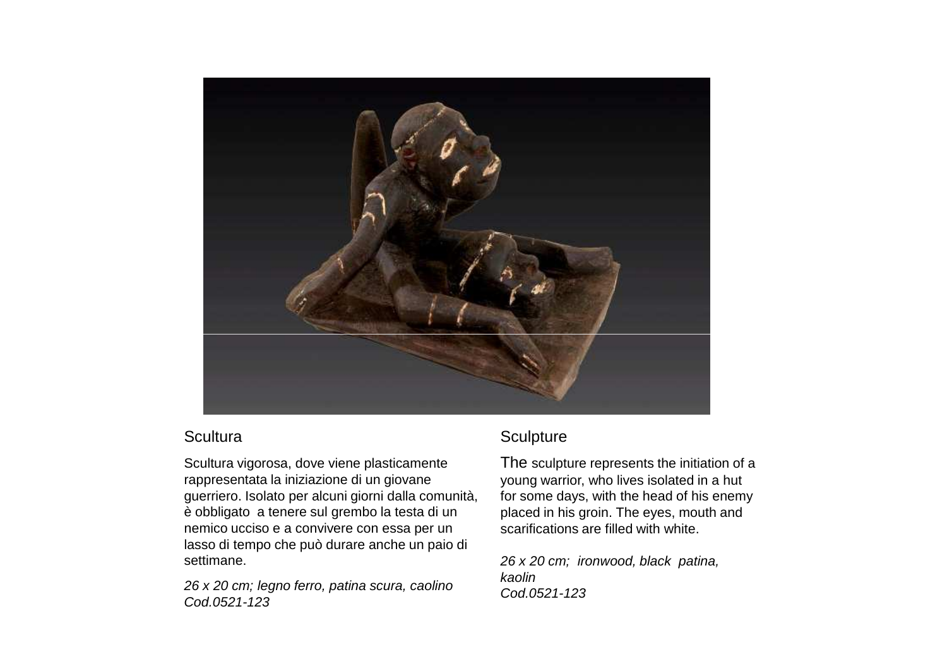

Scultura vigorosa, dove viene plasticamente rappresentata la iniziazione di un giovane guerriero. Isolato per alcuni giorni dalla comunità, è obbligato a tenere sul grembo la testa di un nemico ucciso e a convivere con essa per un lasso di tempo che può durare anche un paio di settimane.

26 x 20 cm; legno ferro, patina scura, caolinoCod.0521-123

# **Sculpture**

The sculpture represents the initiation of a young warrior, who lives isolated in a hut for some days, with the head of his enemy placed in his groin. The eyes, mouth and scarifications are filled with white.

26 x 20 cm; ironwood, black patina, kaolinCod.0521-123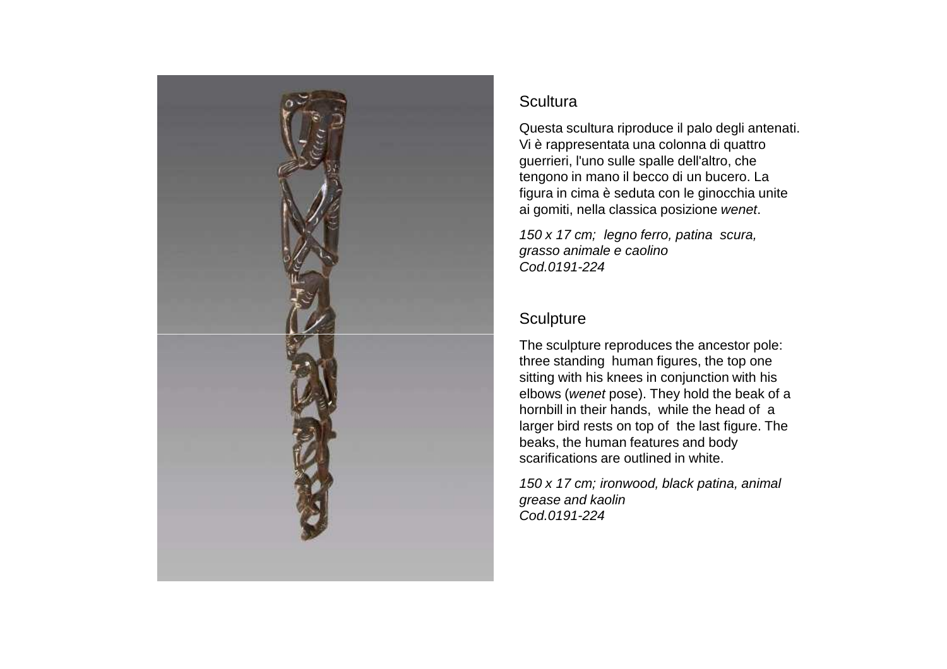

Questa scultura riproduce il palo degli antenati. Vi è rappresentata una colonna di quattro guerrieri, l'uno sulle spalle dell'altro, che tengono in mano il becco di un bucero. La figura in cima è seduta con le ginocchia unite ai gomiti, nella classica posizione wenet.

150 x 17 cm; legno ferro, patina scura, grasso animale e caolinoCod.0191-224

# **Sculpture**

The sculpture reproduces the ancestor pole: three standing human figures, the top one sitting with his knees in conjunction with his elbows (wenet pose). They hold the beak of a hornbill in their hands, while the head of a larger bird rests on top of the last figure. The beaks, the human features and body scarifications are outlined in white.

150 x 17 cm; ironwood, black patina, animal grease and kaolinCod.0191-224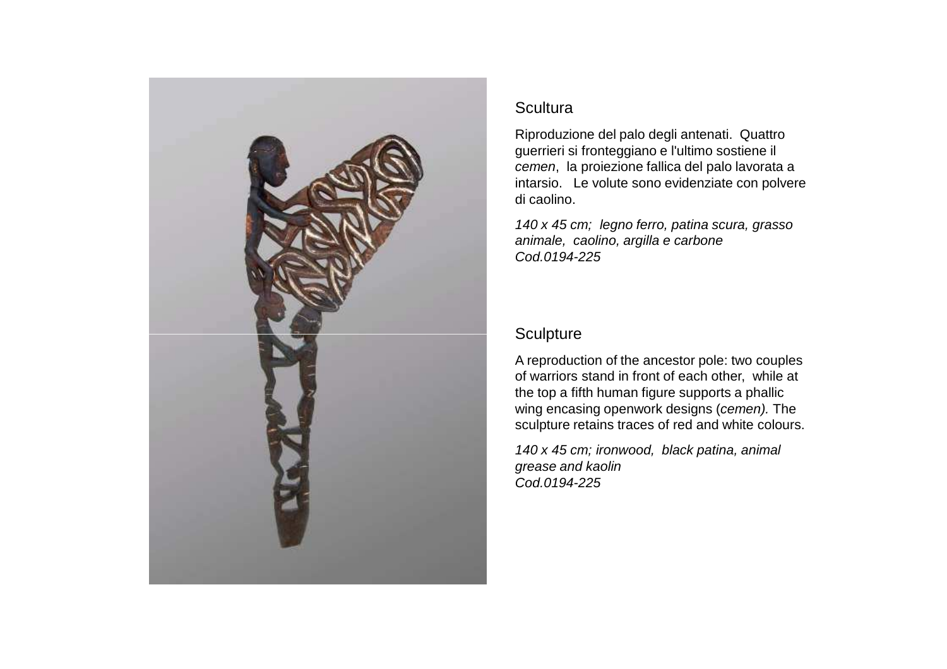

Riproduzione del palo degli antenati. Quattro guerrieri si fronteggiano e l'ultimo sostiene il cemen, la proiezione fallica del palo lavorata a intarsio. Le volute sono evidenziate con polvere di caolino.

140 x 45 cm; legno ferro, patina scura, grasso animale, caolino, argilla e carboneCod.0194-225

# **Sculpture**

A reproduction of the ancestor pole: two couples of warriors stand in front of each other, while at the top a fifth human figure supports a phallic wing encasing openwork designs (cemen). The sculpture retains traces of red and white colours.

140 x 45 cm; ironwood, black patina, animal grease and kaolinCod.0194-225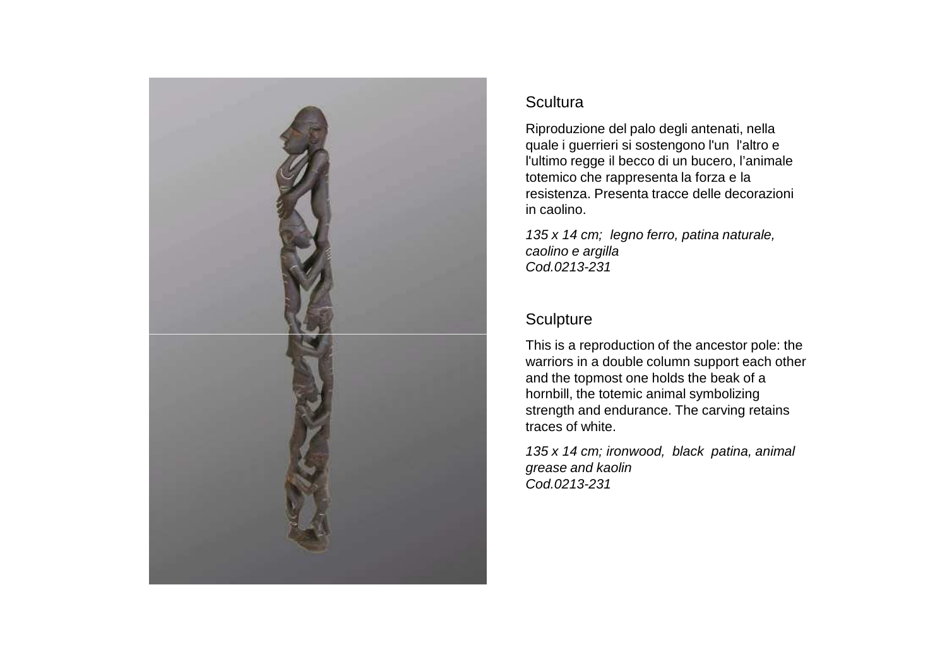

Riproduzione del palo degli antenati, nella quale i guerrieri si sostengono l'un l'altro e l'ultimo regge il becco di un bucero, l'animale totemico che rappresenta la forza e la resistenza. Presenta tracce delle decorazioni in caolino.

135 x 14 cm; legno ferro, patina naturale, caolino e argillaCod.0213-231

# **Sculpture**

This is a reproduction of the ancestor pole: the warriors in a double column support each other and the topmost one holds the beak of a hornbill, the totemic animal symbolizing strength and endurance. The carving retains traces of white.

135 x 14 cm; ironwood, black patina, animal grease and kaolinCod.0213-231